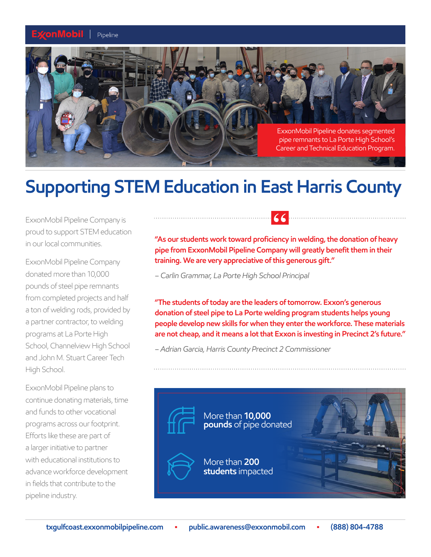## Pipeline



## **Supporting STEM Education in East Harris County**

ExxonMobil Pipeline Company is proud to support STEM education in our local communities.

ExxonMobil Pipeline Company donated more than 10,000 pounds of steel pipe remnants from completed projects and half a ton of welding rods, provided by a partner contractor, to welding programs at La Porte High School, Channelview High School and John M. Stuart Career Tech High School.

ExxonMobil Pipeline plans to continue donating materials, time and funds to other vocational programs across our footprint. Efforts like these are part of a larger initiative to partner with educational institutions to advance workforce development in fields that contribute to the pipeline industry.

**"As our students work toward proficiency in welding, the donation of heavy pipe from ExxonMobil Pipeline Company will greatly benefit them in their training. We are very appreciative of this generous gift."** 

*– Carlin Grammar, La Porte High School Principal* 

**"The students of today are the leaders of tomorrow. Exxon's generous donation of steel pipe to La Porte welding program students helps young people develop new skills for when they enter the workforce. These materials are not cheap, and it means a lot that Exxon is investing in Precinct 2's future."** 

*– Adrian Garcia, Harris County Precinct 2 Commissioner*